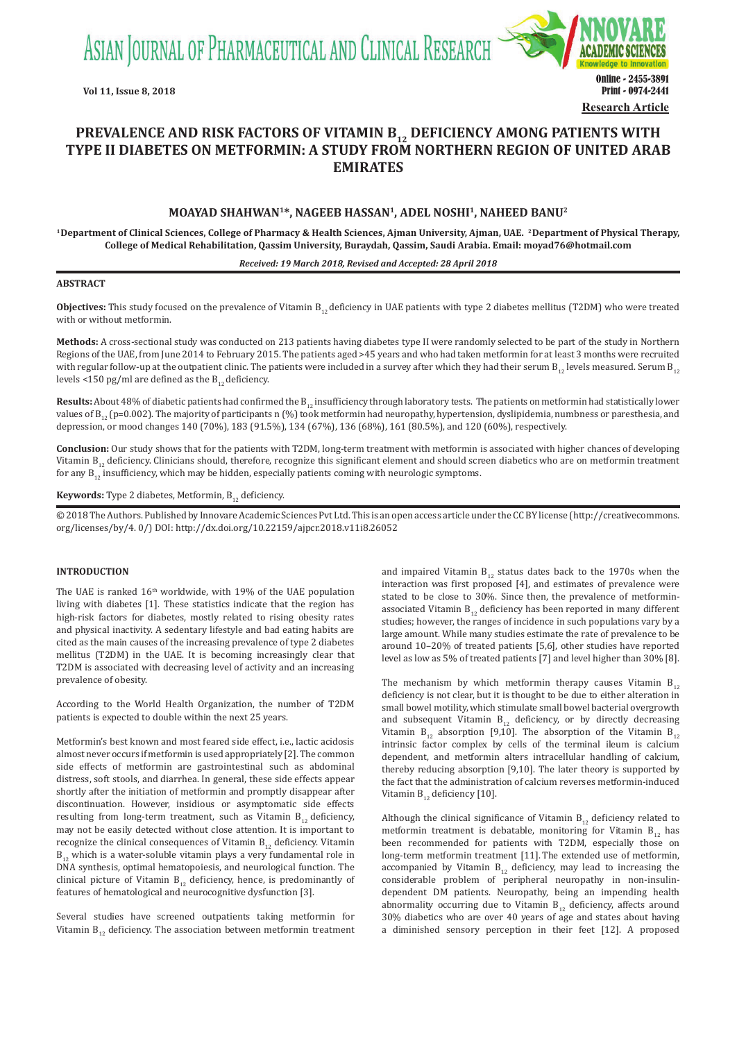ASIAN JOURNAL OF PHARMACEUTICAL AND CLINICAL RESEARCH



# **PREVALENCE AND RISK FACTORS OF VITAMIN B<sub>12</sub> DEFICIENCY AMONG PATIENTS WITH TYPE II DIABETES ON METFORMIN: A STUDY FROM NORTHERN REGION OF UNITED ARAB EMIRATES**

# **MOAYAD SHAHWAN1\*, NAGEEB HASSAN1, ADEL NOSHI1, NAHEED BANU2**

**<sup>1</sup> Department of Clinical Sciences, College of Pharmacy & Health Sciences, Ajman University, Ajman, UAE. <sup>2</sup> Department of Physical Therapy, College of Medical Rehabilitation, Qassim University, Buraydah, Qassim, Saudi Arabia. Email: moyad76@hotmail.com**

### *Received: 19 March 2018, Revised and Accepted: 28 April 2018*

#### **ABSTRACT**

**Objectives:** This study focused on the prevalence of Vitamin B<sub>12</sub> deficiency in UAE patients with type 2 diabetes mellitus (T2DM) who were treated with or without metformin.

**Methods:** A cross-sectional study was conducted on 213 patients having diabetes type II were randomly selected to be part of the study in Northern Regions of the UAE, from June 2014 to February 2015. The patients aged >45 years and who had taken metformin for at least 3 months were recruited with regular follow-up at the outpatient clinic. The patients were included in a survey after which they had their serum  $B_{12}$  levels measured. Serum  $B_{12}$ levels <150 pg/ml are defined as the  $B_{12}$  deficiency.

Results: About 48% of diabetic patients had confirmed the B<sub>12</sub> insufficiency through laboratory tests. The patients on metformin had statistically lower values of  $B_{12}$  (p=0.002). The majority of participants n (%) took metformin had neuropathy, hypertension, dyslipidemia, numbness or paresthesia, and depression, or mood changes 140 (70%), 183 (91.5%), 134 (67%), 136 (68%), 161 (80.5%), and 120 (60%), respectively.

**Conclusion:** Our study shows that for the patients with T2DM, long-term treatment with metformin is associated with higher chances of developing Vitamin  $B_{12}$  deficiency. Clinicians should, therefore, recognize this significant element and should screen diabetics who are on metformin treatment for any  $B_{12}$  insufficiency, which may be hidden, especially patients coming with neurologic symptoms.

**Keywords:** Type 2 diabetes, Metformin, B<sub>12</sub> deficiency.

© 2018 The Authors. Published by Innovare Academic Sciences Pvt Ltd. This is an open access article under the CC BY license (http://creativecommons. org/licenses/by/4. 0/) DOI: http://dx.doi.org/10.22159/ajpcr.2018.v11i8.26052

# **INTRODUCTION**

The UAE is ranked  $16<sup>th</sup>$  worldwide, with 19% of the UAE population living with diabetes [1]. These statistics indicate that the region has high-risk factors for diabetes, mostly related to rising obesity rates and physical inactivity. A sedentary lifestyle and bad eating habits are cited as the main causes of the increasing prevalence of type 2 diabetes mellitus (T2DM) in the UAE. It is becoming increasingly clear that T2DM is associated with decreasing level of activity and an increasing prevalence of obesity.

According to the World Health Organization, the number of T2DM patients is expected to double within the next 25 years.

Metformin's best known and most feared side effect, i.e., lactic acidosis almost never occurs if metformin is used appropriately [2]. The common side effects of metformin are gastrointestinal such as abdominal distress, soft stools, and diarrhea. In general, these side effects appear shortly after the initiation of metformin and promptly disappear after discontinuation. However, insidious or asymptomatic side effects resulting from long-term treatment, such as Vitamin  $B_{12}$  deficiency, may not be easily detected without close attention. It is important to recognize the clinical consequences of Vitamin  $B_{12}$  deficiency. Vitamin  $B_{12}$  which is a water-soluble vitamin plays a very fundamental role in DNA synthesis, optimal hematopoiesis, and neurological function. The clinical picture of Vitamin  $B_{12}$  deficiency, hence, is predominantly of features of hematological and neurocognitive dysfunction [3].

Several studies have screened outpatients taking metformin for Vitamin  $B_{12}$  deficiency. The association between metformin treatment and impaired Vitamin  $B_{12}$  status dates back to the 1970s when the interaction was first proposed [4], and estimates of prevalence were stated to be close to 30%. Since then, the prevalence of metforminassociated Vitamin  $B_{12}$  deficiency has been reported in many different studies; however, the ranges of incidence in such populations vary by a large amount. While many studies estimate the rate of prevalence to be around 10–20% of treated patients [5,6], other studies have reported level as low as 5% of treated patients [7] and level higher than 30% [8].

The mechanism by which metformin therapy causes Vitamin  $B_{12}$ deficiency is not clear, but it is thought to be due to either alteration in small bowel motility, which stimulate small bowel bacterial overgrowth and subsequent Vitamin  $B_{12}$  deficiency, or by directly decreasing Vitamin  $B_{12}$  absorption [9,10]. The absorption of the Vitamin  $B_{12}$ intrinsic factor complex by cells of the terminal ileum is calcium dependent, and metformin alters intracellular handling of calcium, thereby reducing absorption [9,10]. The later theory is supported by the fact that the administration of calcium reverses metformin-induced Vitamin  $B_{12}$  deficiency [10].

Although the clinical significance of Vitamin  $B_{12}$  deficiency related to metformin treatment is debatable, monitoring for Vitamin  $B_{12}$  has been recommended for patients with T2DM, especially those on long-term metformin treatment [11]. The extended use of metformin, accompanied by Vitamin  $B_{12}$  deficiency, may lead to increasing the considerable problem of peripheral neuropathy in non-insulindependent DM patients. Neuropathy, being an impending health abnormality occurring due to Vitamin  $B_{12}$  deficiency, affects around 30% diabetics who are over 40 years of age and states about having a diminished sensory perception in their feet [12]. A proposed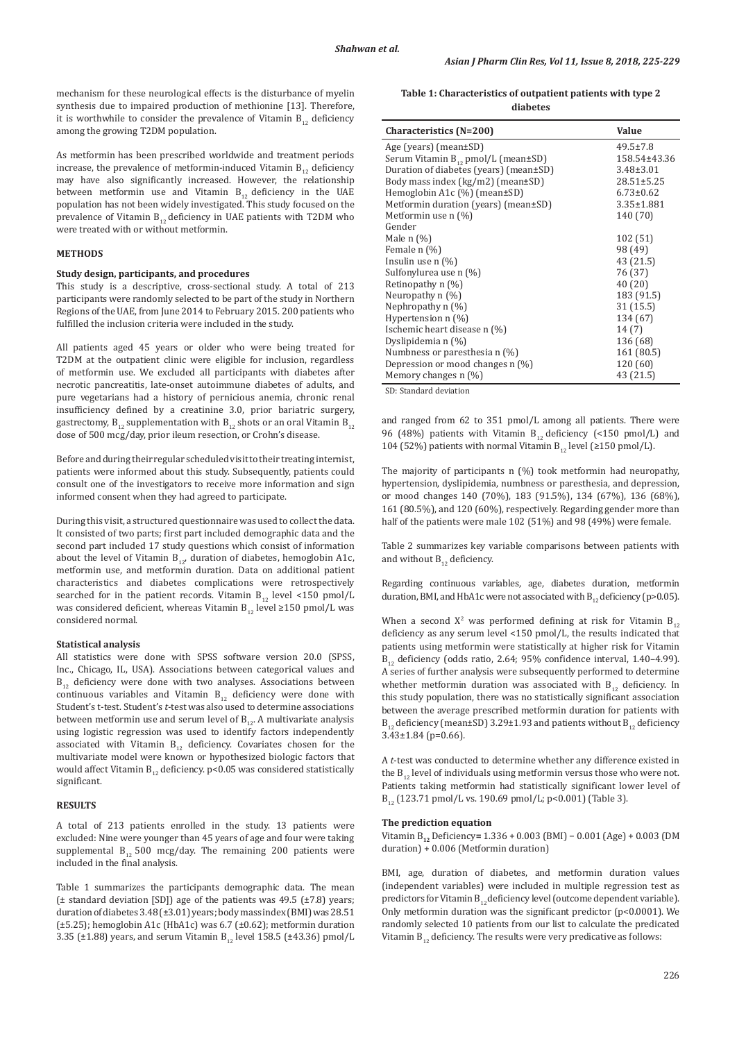mechanism for these neurological effects is the disturbance of myelin synthesis due to impaired production of methionine [13]. Therefore, it is worthwhile to consider the prevalence of Vitamin  $B_{12}$  deficiency among the growing T2DM population.

As metformin has been prescribed worldwide and treatment periods increase, the prevalence of metformin-induced Vitamin  $B_{12}$  deficiency may have also significantly increased. However, the relationship between metformin use and Vitamin  $B_{12}$  deficiency in the UAE population has not been widely investigated. This study focused on the prevalence of Vitamin  $B_{12}$  deficiency in UAE patients with T2DM who were treated with or without metformin.

# **METHODS**

# **Study design, participants, and procedures**

This study is a descriptive, cross-sectional study. A total of 213 participants were randomly selected to be part of the study in Northern Regions of the UAE, from June 2014 to February 2015. 200 patients who fulfilled the inclusion criteria were included in the study.

All patients aged 45 years or older who were being treated for T2DM at the outpatient clinic were eligible for inclusion, regardless of metformin use. We excluded all participants with diabetes after necrotic pancreatitis, late-onset autoimmune diabetes of adults, and pure vegetarians had a history of pernicious anemia, chronic renal insufficiency defined by a creatinine 3.0, prior bariatric surgery, gastrectomy,  $B_{12}$  supplementation with  $B_{12}$  shots or an oral Vitamin  $B_{12}$ dose of 500 mcg/day, prior ileum resection, or Crohn's disease.

Before and during their regular scheduled visit to their treating internist, patients were informed about this study. Subsequently, patients could consult one of the investigators to receive more information and sign informed consent when they had agreed to participate.

During this visit, a structured questionnaire was used to collect the data. It consisted of two parts; first part included demographic data and the second part included 17 study questions which consist of information about the level of Vitamin  $B_{12}$ , duration of diabetes, hemoglobin A1c, metformin use, and metformin duration. Data on additional patient characteristics and diabetes complications were retrospectively searched for in the patient records. Vitamin  $B_{12}$  level <150 pmol/L was considered deficient, whereas Vitamin B<sub>12</sub> level ≥150 pmol/L was considered normal.

### **Statistical analysis**

All statistics were done with SPSS software version 20.0 (SPSS, Inc., Chicago, IL, USA). Associations between categorical values and  $B_{12}$  deficiency were done with two analyses. Associations between continuous variables and Vitamin  $B_{12}$  deficiency were done with Student's t-test. Student's *t-*test was also used to determine associations between metformin use and serum level of  $B_{12}$ . A multivariate analysis using logistic regression was used to identify factors independently associated with Vitamin  $B_{12}$  deficiency. Covariates chosen for the multivariate model were known or hypothesized biologic factors that would affect Vitamin  $B_{12}$  deficiency. p<0.05 was considered statistically significant.

# **RESULTS**

A total of 213 patients enrolled in the study. 13 patients were excluded: Nine were younger than 45 years of age and four were taking supplemental  $B_{12}$  500 mcg/day. The remaining 200 patients were included in the final analysis.

Table 1 summarizes the participants demographic data. The mean (± standard deviation [SD]) age of the patients was 49.5 (±7.8) years; duration of diabetes 3.48 (±3.01) years; body mass index (BMI) was 28.51 (±5.25); hemoglobin A1c (HbA1c) was 6.7 (±0.62); metformin duration 3.35 ( $\pm$ 1.88) years, and serum Vitamin B<sub>12</sub> level 158.5 ( $\pm$ 43.36) pmol/L

**Table 1: Characteristics of outpatient patients with type 2 diabetes**

| <b>Characteristics (N=200)</b>                | <b>Value</b>     |
|-----------------------------------------------|------------------|
| Age (years) (mean $\pm$ SD)                   | $49.5 \pm 7.8$   |
| Serum Vitamin $B_{12}$ pmol/L (mean $\pm$ SD) | 158.54±43.36     |
| Duration of diabetes (years) (mean±SD)        | $3.48 \pm 3.01$  |
| Body mass index $(kg/m2)$ (mean $\pm SD$ )    | $28.51 \pm 5.25$ |
| Hemoglobin A1c $(\%)$ (mean $\pm$ SD)         | $6.73 \pm 0.62$  |
| Metformin duration (years) (mean±SD)          | $3.35 \pm 1.881$ |
| Metformin use $n$ (%)                         | 140 (70)         |
| Gender                                        |                  |
| Male $n$ $(\%)$                               | 102 (51)         |
| Female n (%)                                  | 98 (49)          |
| Insulin use $n$ $\left(\frac{0}{0}\right)$    | 43 (21.5)        |
| Sulfonylurea use n (%)                        | 76 (37)          |
| Retinopathy n (%)                             | 40 (20)          |
| Neuropathy $n$ (%)                            | 183 (91.5)       |
| Nephropathy $n$ (%)                           | 31(15.5)         |
| Hypertension n (%)                            | 134 (67)         |
| Ischemic heart disease n (%)                  | 14(7)            |
| Dyslipidemia n (%)                            | 136 (68)         |
| Numbness or paresthesia n (%)                 | 161 (80.5)       |
| Depression or mood changes n (%)              | 120 (60)         |
| Memory changes $n$ (%)                        | 43 (21.5)        |

SD: Standard deviation

and ranged from 62 to 351 pmol/L among all patients. There were 96 (48%) patients with Vitamin  $B_{12}$  deficiency (<150 pmol/L) and 104 (52%) patients with normal Vitamin  $B_{12}$  level (≥150 pmol/L).

The majority of participants n (%) took metformin had neuropathy, hypertension, dyslipidemia, numbness or paresthesia, and depression, or mood changes 140 (70%), 183 (91.5%), 134 (67%), 136 (68%), 161 (80.5%), and 120 (60%), respectively. Regarding gender more than half of the patients were male 102 (51%) and 98 (49%) were female.

Table 2 summarizes key variable comparisons between patients with and without  $B_{12}$  deficiency.

Regarding continuous variables, age, diabetes duration, metformin duration, BMI, and HbA1c were not associated with  $B_{12}$  deficiency (p>0.05).

When a second  $X^2$  was performed defining at risk for Vitamin  $B_{12}$ deficiency as any serum level <150 pmol/L, the results indicated that patients using metformin were statistically at higher risk for Vitamin  $B_{12}$  deficiency (odds ratio, 2.64; 95% confidence interval, 1.40–4.99). A series of further analysis were subsequently performed to determine whether metformin duration was associated with  $B_{12}$  deficiency. In this study population, there was no statistically significant association between the average prescribed metformin duration for patients with  $B_{12}$  deficiency (mean±SD) 3.29±1.93 and patients without  $B_{12}$  deficiency 3.43±1.84 (p=0.66)*.*

A *t*-test was conducted to determine whether any difference existed in the  $B_{12}$  level of individuals using metformin versus those who were not. Patients taking metformin had statistically significant lower level of  $B_{12}$  (123.71 pmol/L vs. 190.69 pmol/L; p<0.001) (Table 3).

#### **The prediction equation**

Vitamin B**<sup>12</sup>** Deficiency**=** 1.336 + 0.003 (BMI) − 0.001 (Age) + 0.003 (DM duration) + 0.006 (Metformin duration)

BMI, age, duration of diabetes, and metformin duration values (independent variables) were included in multiple regression test as predictors for Vitamin  $B_{12}$  deficiency level (outcome dependent variable). Only metformin duration was the significant predictor (p<0.0001). We randomly selected 10 patients from our list to calculate the predicated Vitamin  $B_{12}$  deficiency. The results were very predicative as follows: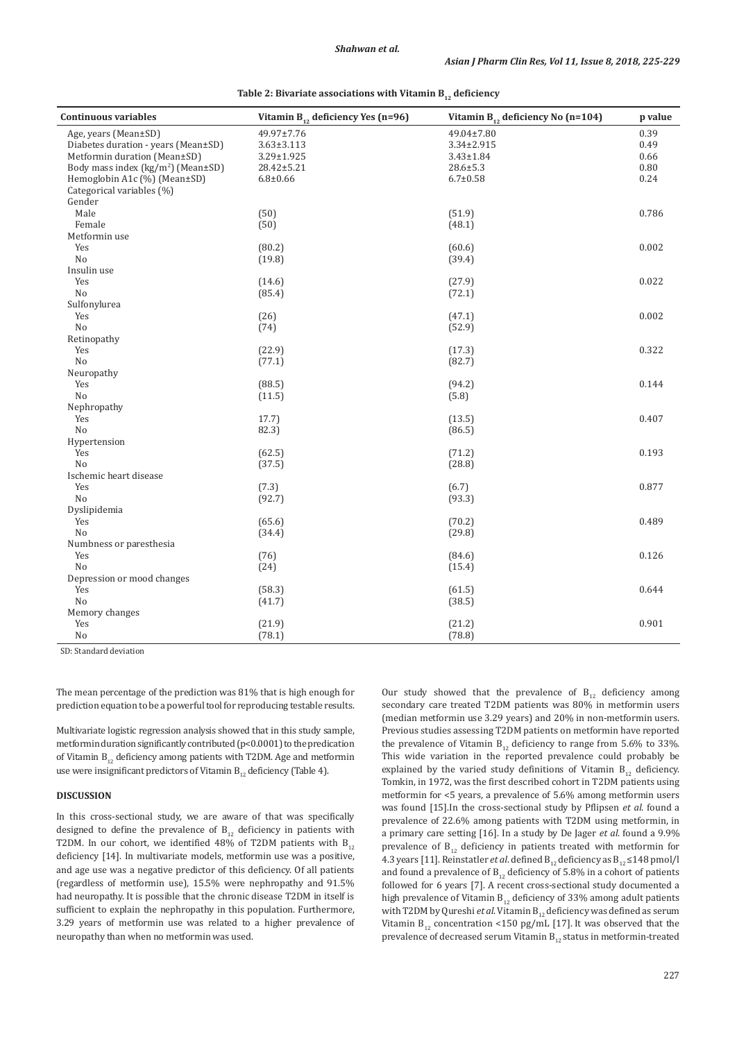| <b>Continuous variables</b>                         | Vitamin $B_{12}$ deficiency Yes (n=96) | Vitamin $B_{12}$ deficiency No (n=104) | p value |
|-----------------------------------------------------|----------------------------------------|----------------------------------------|---------|
| Age, years (Mean±SD)                                | 49.97±7.76                             | 49.04±7.80                             | 0.39    |
| Diabetes duration - years (Mean±SD)                 | $3.63 \pm 3.113$                       | 3.34±2.915                             | 0.49    |
| Metformin duration (Mean±SD)                        | 3.29±1.925                             | $3.43 \pm 1.84$                        | 0.66    |
| Body mass index ( $\text{kg/m}^2$ ) (Mean $\pm$ SD) | 28.42±5.21                             | $28.6 \pm 5.3$                         | 0.80    |
| Hemoglobin A1c (%) (Mean±SD)                        | $6.8 + 0.66$                           | $6.7 \pm 0.58$                         | 0.24    |
| Categorical variables (%)                           |                                        |                                        |         |
| Gender                                              |                                        |                                        |         |
| Male                                                | (50)                                   | (51.9)                                 | 0.786   |
| Female                                              | (50)                                   | (48.1)                                 |         |
| Metformin use                                       |                                        |                                        |         |
| Yes                                                 | (80.2)                                 | (60.6)                                 | 0.002   |
| No                                                  | (19.8)                                 | (39.4)                                 |         |
| Insulin use                                         |                                        |                                        |         |
| Yes                                                 | (14.6)                                 | (27.9)                                 | 0.022   |
| No                                                  | (85.4)                                 | (72.1)                                 |         |
| Sulfonylurea                                        |                                        |                                        |         |
| Yes                                                 | (26)                                   | (47.1)                                 | 0.002   |
| N <sub>o</sub>                                      | (74)                                   | (52.9)                                 |         |
| Retinopathy                                         |                                        |                                        |         |
| Yes                                                 | (22.9)                                 | (17.3)                                 | 0.322   |
| No                                                  | (77.1)                                 | (82.7)                                 |         |
| Neuropathy                                          |                                        |                                        |         |
| Yes                                                 | (88.5)                                 | (94.2)                                 | 0.144   |
| No                                                  | (11.5)                                 | (5.8)                                  |         |
| Nephropathy                                         |                                        |                                        |         |
| Yes                                                 | 17.7)                                  | (13.5)                                 | 0.407   |
| No                                                  | 82.3)                                  | (86.5)                                 |         |
| Hypertension                                        |                                        |                                        |         |
| Yes                                                 | (62.5)                                 | (71.2)                                 | 0.193   |
| N <sub>o</sub>                                      | (37.5)                                 | (28.8)                                 |         |
| Ischemic heart disease                              |                                        |                                        |         |
| Yes                                                 | (7.3)                                  | (6.7)                                  | 0.877   |
| No                                                  | (92.7)                                 | (93.3)                                 |         |
| Dyslipidemia                                        |                                        |                                        |         |
| Yes                                                 | (65.6)                                 | (70.2)                                 | 0.489   |
| N <sub>o</sub>                                      | (34.4)                                 | (29.8)                                 |         |
|                                                     |                                        |                                        |         |
| Numbness or paresthesia<br>Yes                      |                                        |                                        | 0.126   |
| N <sub>o</sub>                                      | (76)                                   | (84.6)                                 |         |
|                                                     | (24)                                   | (15.4)                                 |         |
| Depression or mood changes                          |                                        |                                        |         |
| Yes                                                 | (58.3)                                 | (61.5)                                 | 0.644   |
| N <sub>o</sub>                                      | (41.7)                                 | (38.5)                                 |         |
| Memory changes                                      |                                        |                                        |         |
| Yes                                                 | (21.9)                                 | (21.2)                                 | 0.901   |
| No                                                  | (78.1)                                 | (78.8)                                 |         |

| Table 2: Bivariate associations with Vitamin $B_{12}$ deficiency |  |  |
|------------------------------------------------------------------|--|--|
|------------------------------------------------------------------|--|--|

SD: Standard deviation

The mean percentage of the prediction was 81% that is high enough for prediction equation to be a powerful tool for reproducing testable results.

Multivariate logistic regression analysis showed that in this study sample, metformin duration significantly contributed (p<0.0001) to the predication of Vitamin  $B_{12}$  deficiency among patients with T2DM. Age and metformin use were insignificant predictors of Vitamin  $B_{12}$  deficiency (Table 4).

# **DISCUSSION**

In this cross-sectional study, we are aware of that was specifically designed to define the prevalence of  $B_{12}$  deficiency in patients with T2DM. In our cohort, we identified 48% of T2DM patients with  $B_{12}$ deficiency [14]. In multivariate models, metformin use was a positive, and age use was a negative predictor of this deficiency. Of all patients (regardless of metformin use), 15.5% were nephropathy and 91.5% had neuropathy. It is possible that the chronic disease T2DM in itself is sufficient to explain the nephropathy in this population. Furthermore, 3.29 years of metformin use was related to a higher prevalence of neuropathy than when no metformin was used.

Our study showed that the prevalence of  $B_{12}$  deficiency among secondary care treated T2DM patients was 80% in metformin users (median metformin use 3.29 years) and 20% in non-metformin users. Previous studies assessing T2DM patients on metformin have reported the prevalence of Vitamin  $B_{12}$  deficiency to range from 5.6% to 33%. This wide variation in the reported prevalence could probably be explained by the varied study definitions of Vitamin  $B_{12}$  deficiency. Tomkin, in 1972, was the first described cohort in T2DM patients using metformin for <5 years, a prevalence of 5.6% among metformin users was found [15].In the cross-sectional study by Pflipsen *et al*. found a prevalence of 22.6% among patients with T2DM using metformin, in a primary care setting [16]. In a study by De Jager *et al*. found a 9.9% prevalence of  $B_{12}$  deficiency in patients treated with metformin for 4.3 years [11]. Reinstatler *et al*. defined  $B_{12}$  deficiency as  $B_{12} \le 148$  pmol/l and found a prevalence of  $B_{12}$  deficiency of 5.8% in a cohort of patients followed for 6 years [7]. A recent cross-sectional study documented a high prevalence of Vitamin  $B_{12}$  deficiency of 33% among adult patients with T2DM by Qureshi *et al*. Vitamin B<sub>12</sub> deficiency was defined as serum Vitamin  $B_{12}$  concentration <150 pg/mL [17]. It was observed that the prevalence of decreased serum Vitamin  $B_{12}$  status in metformin-treated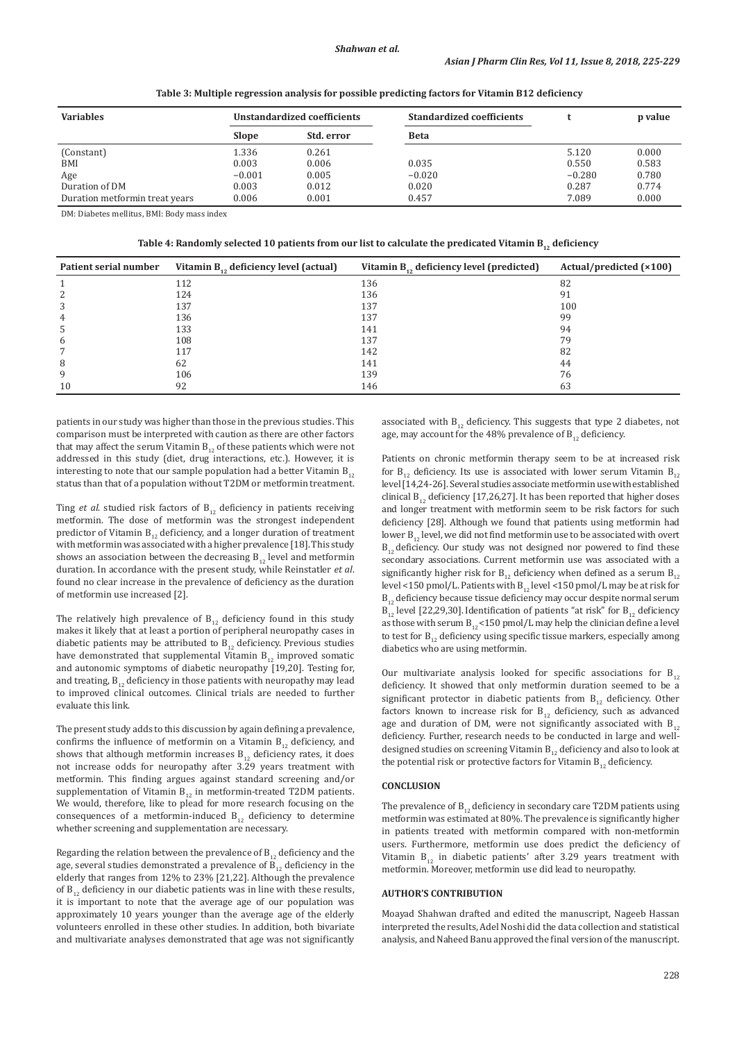| <b>Variables</b>               | Unstandardized coefficients |            | <b>Standardized coefficients</b> |          | p value |
|--------------------------------|-----------------------------|------------|----------------------------------|----------|---------|
|                                | <b>Slope</b>                | Std. error | <b>Beta</b>                      |          |         |
| (Constant)                     | 1.336                       | 0.261      |                                  | 5.120    | 0.000   |
| <b>BMI</b>                     | 0.003                       | 0.006      | 0.035                            | 0.550    | 0.583   |
| Age                            | $-0.001$                    | 0.005      | $-0.020$                         | $-0.280$ | 0.780   |
| Duration of DM                 | 0.003                       | 0.012      | 0.020                            | 0.287    | 0.774   |
| Duration metformin treat years | 0.006                       | 0.001      | 0.457                            | 7.089    | 0.000   |

**Table 3: Multiple regression analysis for possible predicting factors for Vitamin B12 deficiency**

DM: Diabetes mellitus, BMI: Body mass index

**Table 4: Randomly selected 10 patients from our list to calculate the predicated Vitamin B12 deficiency**

| Patient serial number | Vitamin $B_{12}$ deficiency level (actual) | Vitamin $B_{12}$ deficiency level (predicted) | Actual/predicted $(x100)$ |
|-----------------------|--------------------------------------------|-----------------------------------------------|---------------------------|
|                       | 112                                        | 136                                           | 82                        |
|                       | 124                                        | 136                                           | 91                        |
| 3                     | 137                                        | 137                                           | 100                       |
| 4                     | 136                                        | 137                                           | 99                        |
| C                     | 133                                        | 141                                           | 94                        |
| 6                     | 108                                        | 137                                           | 79                        |
|                       | 117                                        | 142                                           | 82                        |
| 8                     | 62                                         | 141                                           | 44                        |
| 9                     | 106                                        | 139                                           | 76                        |
| 10                    | 92                                         | 146                                           | 63                        |

patients in our study was higher than those in the previous studies. This comparison must be interpreted with caution as there are other factors that may affect the serum Vitamin  $B_{12}$  of these patients which were not addressed in this study (diet, drug interactions, etc.). However, it is interesting to note that our sample population had a better Vitamin  $B_{12}$ status than that of a population without T2DM or metformin treatment.

Ting *et al.* studied risk factors of  $B_{12}$  deficiency in patients receiving metformin. The dose of metformin was the strongest independent predictor of Vitamin  $B_{12}$  deficiency, and a longer duration of treatment with metformin was associated with a higher prevalence [18].This study shows an association between the decreasing  $B_{12}$  level and metformin duration. In accordance with the present study, while Reinstatler *et al*. found no clear increase in the prevalence of deficiency as the duration of metformin use increased [2].

The relatively high prevalence of  $B_{12}$  deficiency found in this study makes it likely that at least a portion of peripheral neuropathy cases in diabetic patients may be attributed to  $B_{12}$  deficiency. Previous studies have demonstrated that supplemental Vitamin  $B_{12}$  improved somatic and autonomic symptoms of diabetic neuropathy [19,20]. Testing for, and treating,  $B_{12}$  deficiency in those patients with neuropathy may lead to improved clinical outcomes. Clinical trials are needed to further evaluate this link.

The present study adds to this discussion by again defining a prevalence, confirms the influence of metformin on a Vitamin  $B_{12}$  deficiency, and shows that although metformin increases  $B_{12}$  deficiency rates, it does not increase odds for neuropathy after 3.29 years treatment with metformin. This finding argues against standard screening and/or supplementation of Vitamin  $B_{12}$  in metformin-treated T2DM patients. We would, therefore, like to plead for more research focusing on the consequences of a metformin-induced  $B_{12}$  deficiency to determine whether screening and supplementation are necessary.

Regarding the relation between the prevalence of  $B_{12}$  deficiency and the age, several studies demonstrated a prevalence of  $\overline{B}_{12}$  deficiency in the elderly that ranges from 12% to 23% [21,22]. Although the prevalence of  $B_{12}$  deficiency in our diabetic patients was in line with these results, it is important to note that the average age of our population was approximately 10 years younger than the average age of the elderly volunteers enrolled in these other studies. In addition, both bivariate and multivariate analyses demonstrated that age was not significantly associated with  $B_{12}$  deficiency. This suggests that type 2 diabetes, not age, may account for the 48% prevalence of  $B_{12}$  deficiency.

Patients on chronic metformin therapy seem to be at increased risk for  $B_{12}$  deficiency. Its use is associated with lower serum Vitamin  $B_{12}$ level[14,24-26]. Several studies associate metformin use with established clinical  $B_{12}$  deficiency [17,26,27]. It has been reported that higher doses and longer treatment with metformin seem to be risk factors for such deficiency [28]. Although we found that patients using metformin had lower  $B_{12}$  level, we did not find metformin use to be associated with overt  $B_{12}$  deficiency. Our study was not designed nor powered to find these secondary associations. Current metformin use was associated with a significantly higher risk for  $B_{12}$  deficiency when defined as a serum  $B_{12}$ level <150 pmol/L. Patients with  $B_{12}$  level <150 pmol/L may be at risk for  $B_{12}$  deficiency because tissue deficiency may occur despite normal serum  $B_{12}$  level [22,29,30]. Identification of patients "at risk" for  $B_{12}$  deficiency as those with serum  $B_{12}$  < 150 pmol/L may help the clinician define a level to test for  $B_{12}$  deficiency using specific tissue markers, especially among diabetics who are using metformin.

Our multivariate analysis looked for specific associations for  $B_{12}$ deficiency. It showed that only metformin duration seemed to be a significant protector in diabetic patients from  $B_{12}$  deficiency. Other factors known to increase risk for  $B_{12}$  deficiency, such as advanced age and duration of DM, were not significantly associated with  $B_{12}$ deficiency. Further, research needs to be conducted in large and welldesigned studies on screening Vitamin  $B_{12}$  deficiency and also to look at the potential risk or protective factors for Vitamin  $B_{12}$  deficiency.

### **CONCLUSION**

The prevalence of  $B_{12}$  deficiency in secondary care T2DM patients using metformin was estimated at 80%. The prevalence is significantly higher in patients treated with metformin compared with non-metformin users. Furthermore, metformin use does predict the deficiency of Vitamin  $B_{12}$  in diabetic patients' after 3.29 years treatment with metformin. Moreover, metformin use did lead to neuropathy.

# **AUTHOR'S CONTRIBUTION**

Moayad Shahwan drafted and edited the manuscript, Nageeb Hassan interpreted the results, Adel Noshi did the data collection and statistical analysis, and Naheed Banu approved the final version of the manuscript.